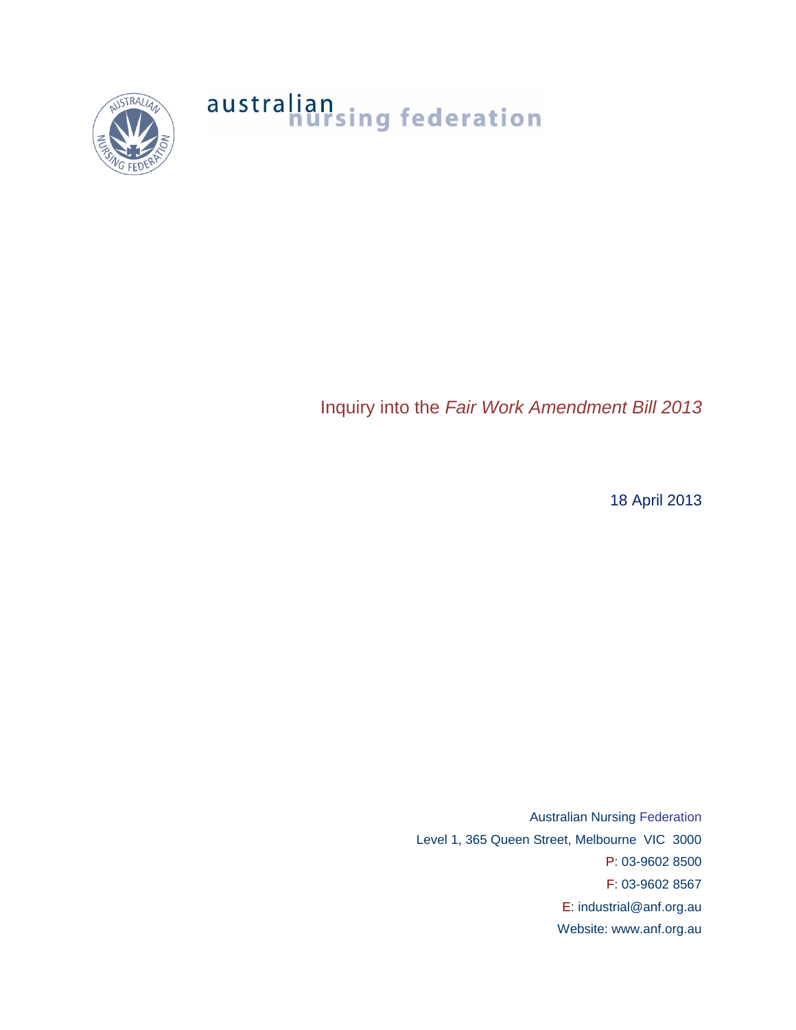

# australian<br>nursing federation

Inquiry into the *Fair Work Amendment Bill 2013*

18 April 2013

Australian Nursing Federation Level 1, 365 Queen Street, Melbourne VIC 3000 P: 03-9602 8500 F: 03-9602 8567 E: industrial@anf.org.au Website: www.anf.org.au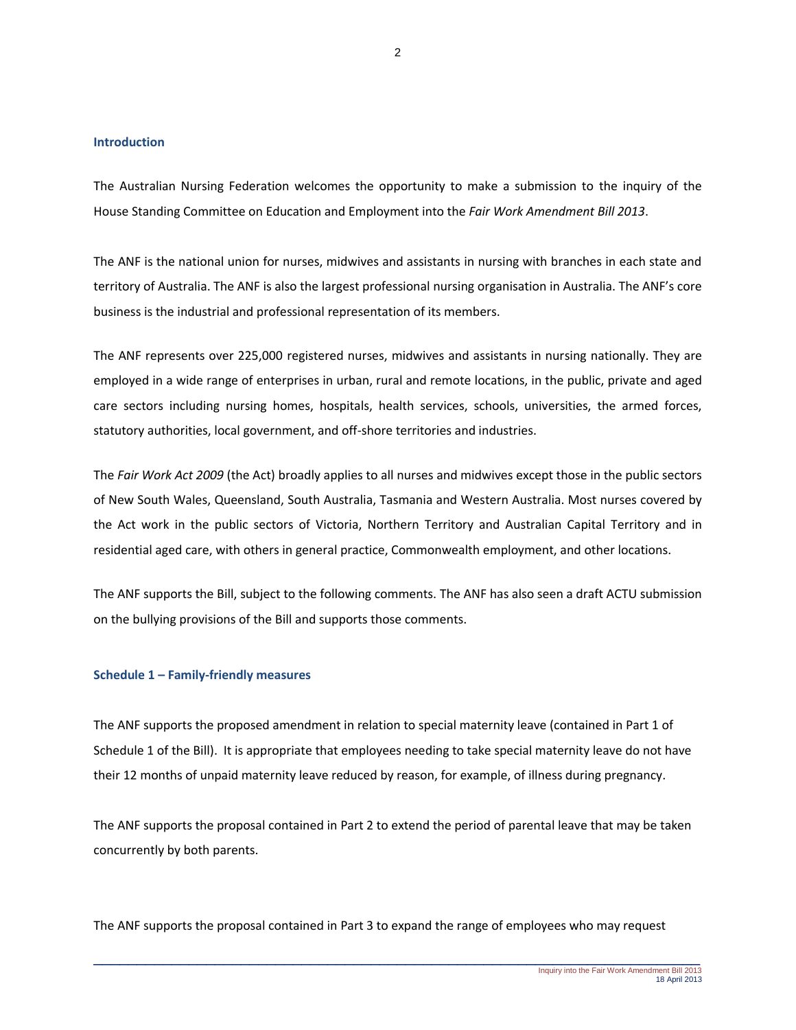# **Introduction**

The Australian Nursing Federation welcomes the opportunity to make a submission to the inquiry of the House Standing Committee on Education and Employment into the *Fair Work Amendment Bill 2013*.

The ANF is the national union for nurses, midwives and assistants in nursing with branches in each state and territory of Australia. The ANF is also the largest professional nursing organisation in Australia. The ANF's core business is the industrial and professional representation of its members.

The ANF represents over 225,000 registered nurses, midwives and assistants in nursing nationally. They are employed in a wide range of enterprises in urban, rural and remote locations, in the public, private and aged care sectors including nursing homes, hospitals, health services, schools, universities, the armed forces, statutory authorities, local government, and off-shore territories and industries.

The *Fair Work Act 2009* (the Act) broadly applies to all nurses and midwives except those in the public sectors of New South Wales, Queensland, South Australia, Tasmania and Western Australia. Most nurses covered by the Act work in the public sectors of Victoria, Northern Territory and Australian Capital Territory and in residential aged care, with others in general practice, Commonwealth employment, and other locations.

The ANF supports the Bill, subject to the following comments. The ANF has also seen a draft ACTU submission on the bullying provisions of the Bill and supports those comments.

### **Schedule 1 – Family-friendly measures**

The ANF supports the proposed amendment in relation to special maternity leave (contained in Part 1 of Schedule 1 of the Bill). It is appropriate that employees needing to take special maternity leave do not have their 12 months of unpaid maternity leave reduced by reason, for example, of illness during pregnancy.

The ANF supports the proposal contained in Part 2 to extend the period of parental leave that may be taken concurrently by both parents.

The ANF supports the proposal contained in Part 3 to expand the range of employees who may request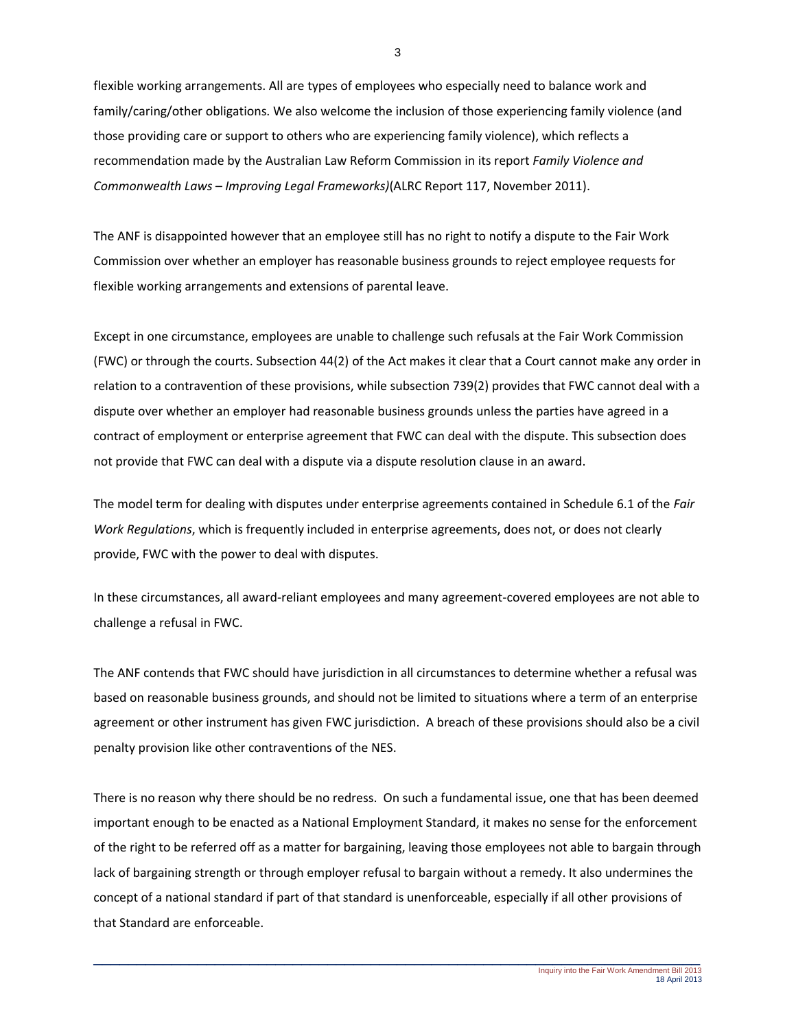flexible working arrangements. All are types of employees who especially need to balance work and family/caring/other obligations. We also welcome the inclusion of those experiencing family violence (and those providing care or support to others who are experiencing family violence), which reflects a recommendation made by the Australian Law Reform Commission in its report *Family Violence and Commonwealth Laws – Improving Legal Frameworks)*(ALRC Report 117, November 2011).

The ANF is disappointed however that an employee still has no right to notify a dispute to the Fair Work Commission over whether an employer has reasonable business grounds to reject employee requests for flexible working arrangements and extensions of parental leave.

Except in one circumstance, employees are unable to challenge such refusals at the Fair Work Commission (FWC) or through the courts. Subsection 44(2) of the Act makes it clear that a Court cannot make any order in relation to a contravention of these provisions, while subsection 739(2) provides that FWC cannot deal with a dispute over whether an employer had reasonable business grounds unless the parties have agreed in a contract of employment or enterprise agreement that FWC can deal with the dispute. This subsection does not provide that FWC can deal with a dispute via a dispute resolution clause in an award.

The model term for dealing with disputes under enterprise agreements contained in Schedule 6.1 of the *Fair Work Regulations*, which is frequently included in enterprise agreements, does not, or does not clearly provide, FWC with the power to deal with disputes.

In these circumstances, all award-reliant employees and many agreement-covered employees are not able to challenge a refusal in FWC.

The ANF contends that FWC should have jurisdiction in all circumstances to determine whether a refusal was based on reasonable business grounds, and should not be limited to situations where a term of an enterprise agreement or other instrument has given FWC jurisdiction. A breach of these provisions should also be a civil penalty provision like other contraventions of the NES.

There is no reason why there should be no redress. On such a fundamental issue, one that has been deemed important enough to be enacted as a National Employment Standard, it makes no sense for the enforcement of the right to be referred off as a matter for bargaining, leaving those employees not able to bargain through lack of bargaining strength or through employer refusal to bargain without a remedy. It also undermines the concept of a national standard if part of that standard is unenforceable, especially if all other provisions of that Standard are enforceable.

3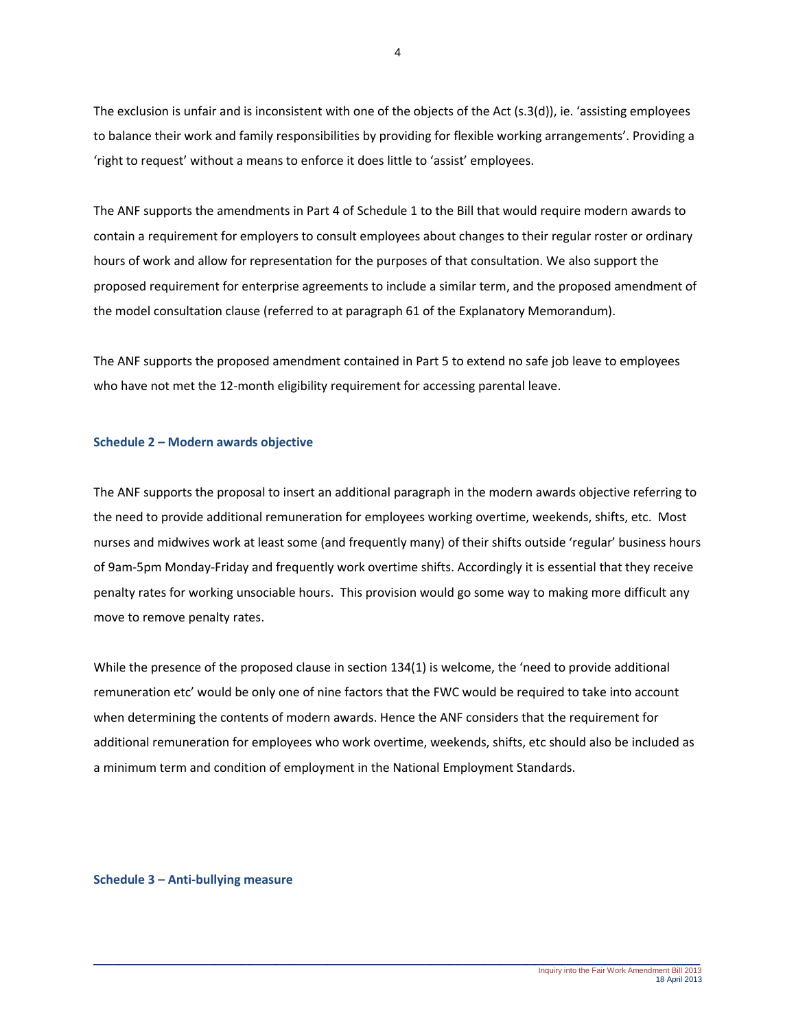The exclusion is unfair and is inconsistent with one of the objects of the Act (s.3(d)), ie. 'assisting employees to balance their work and family responsibilities by providing for flexible working arrangements'. Providing a 'right to request' without a means to enforce it does little to 'assist' employees.

The ANF supports the amendments in Part 4 of Schedule 1 to the Bill that would require modern awards to contain a requirement for employers to consult employees about changes to their regular roster or ordinary hours of work and allow for representation for the purposes of that consultation. We also support the proposed requirement for enterprise agreements to include a similar term, and the proposed amendment of the model consultation clause (referred to at paragraph 61 of the Explanatory Memorandum).

The ANF supports the proposed amendment contained in Part 5 to extend no safe job leave to employees who have not met the 12-month eligibility requirement for accessing parental leave.

## **Schedule 2 – Modern awards objective**

The ANF supports the proposal to insert an additional paragraph in the modern awards objective referring to the need to provide additional remuneration for employees working overtime, weekends, shifts, etc. Most nurses and midwives work at least some (and frequently many) of their shifts outside 'regular' business hours of 9am-5pm Monday-Friday and frequently work overtime shifts. Accordingly it is essential that they receive penalty rates for working unsociable hours. This provision would go some way to making more difficult any move to remove penalty rates.

While the presence of the proposed clause in section 134(1) is welcome, the 'need to provide additional remuneration etc' would be only one of nine factors that the FWC would be required to take into account when determining the contents of modern awards. Hence the ANF considers that the requirement for additional remuneration for employees who work overtime, weekends, shifts, etc should also be included as a minimum term and condition of employment in the National Employment Standards.

### **Schedule 3 – Anti-bullying measure**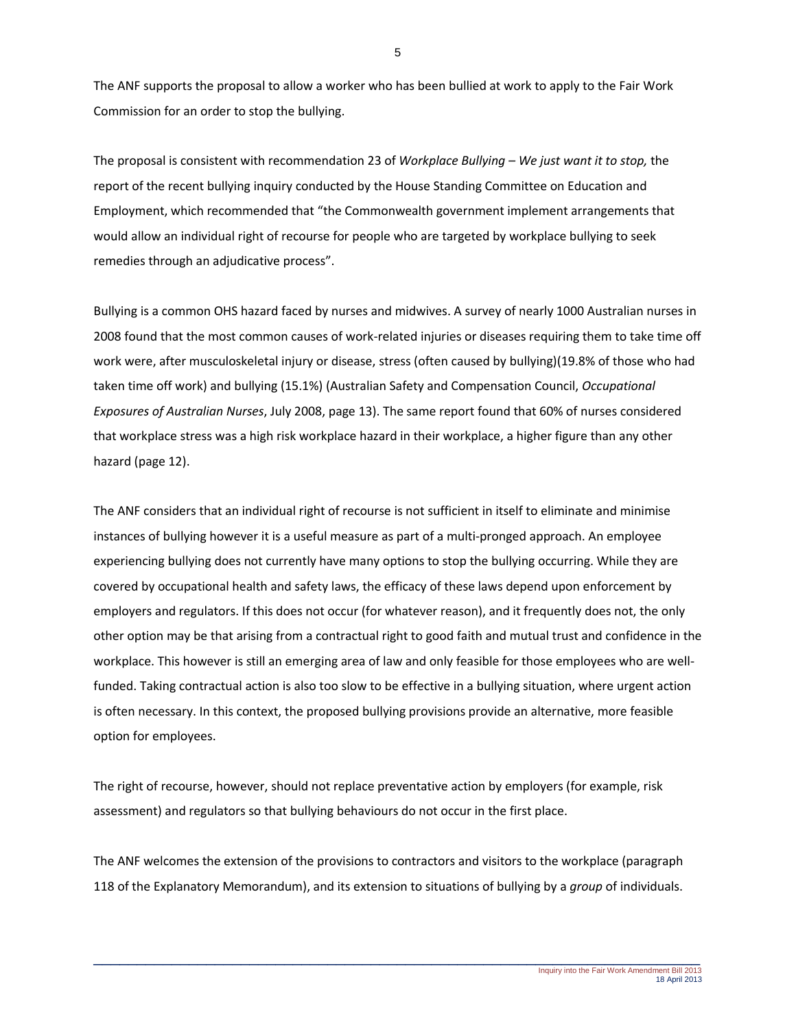The ANF supports the proposal to allow a worker who has been bullied at work to apply to the Fair Work Commission for an order to stop the bullying.

The proposal is consistent with recommendation 23 of *Workplace Bullying – We just want it to stop,* the report of the recent bullying inquiry conducted by the House Standing Committee on Education and Employment, which recommended that "the Commonwealth government implement arrangements that would allow an individual right of recourse for people who are targeted by workplace bullying to seek remedies through an adjudicative process".

Bullying is a common OHS hazard faced by nurses and midwives. A survey of nearly 1000 Australian nurses in 2008 found that the most common causes of work-related injuries or diseases requiring them to take time off work were, after musculoskeletal injury or disease, stress (often caused by bullying)(19.8% of those who had taken time off work) and bullying (15.1%) (Australian Safety and Compensation Council, *Occupational Exposures of Australian Nurses*, July 2008, page 13). The same report found that 60% of nurses considered that workplace stress was a high risk workplace hazard in their workplace, a higher figure than any other hazard (page 12).

The ANF considers that an individual right of recourse is not sufficient in itself to eliminate and minimise instances of bullying however it is a useful measure as part of a multi-pronged approach. An employee experiencing bullying does not currently have many options to stop the bullying occurring. While they are covered by occupational health and safety laws, the efficacy of these laws depend upon enforcement by employers and regulators. If this does not occur (for whatever reason), and it frequently does not, the only other option may be that arising from a contractual right to good faith and mutual trust and confidence in the workplace. This however is still an emerging area of law and only feasible for those employees who are wellfunded. Taking contractual action is also too slow to be effective in a bullying situation, where urgent action is often necessary. In this context, the proposed bullying provisions provide an alternative, more feasible option for employees.

The right of recourse, however, should not replace preventative action by employers (for example, risk assessment) and regulators so that bullying behaviours do not occur in the first place.

The ANF welcomes the extension of the provisions to contractors and visitors to the workplace (paragraph 118 of the Explanatory Memorandum), and its extension to situations of bullying by a *group* of individuals.

5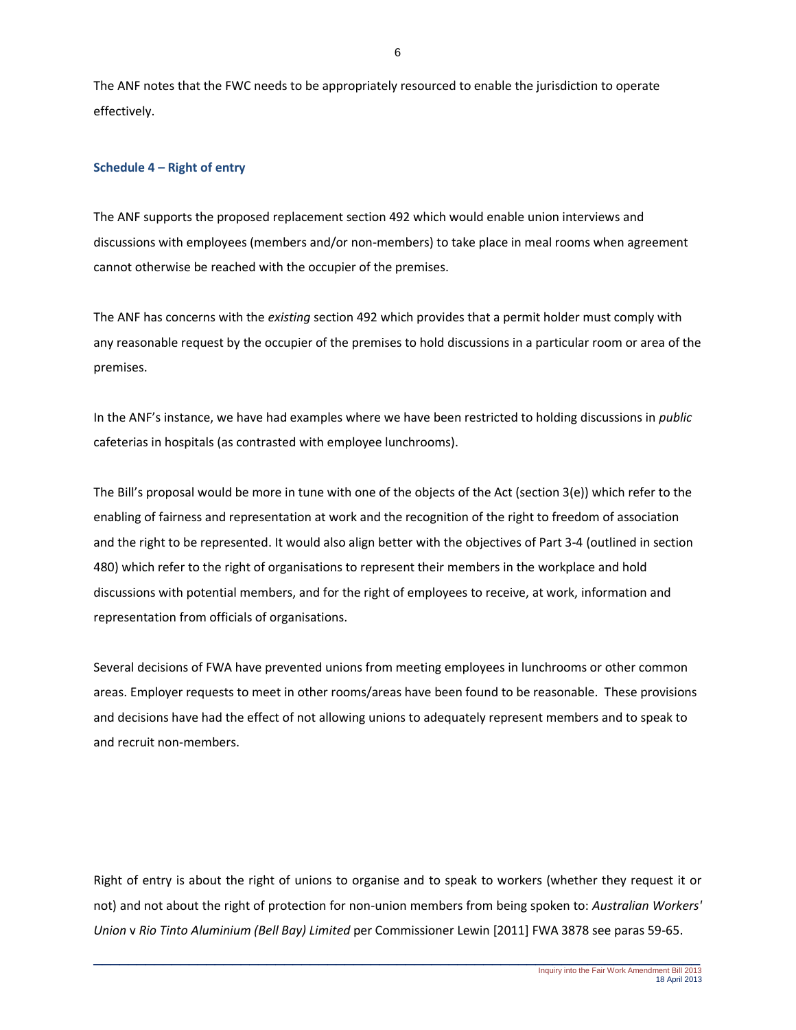The ANF notes that the FWC needs to be appropriately resourced to enable the jurisdiction to operate effectively.

# **Schedule 4 – Right of entry**

The ANF supports the proposed replacement section 492 which would enable union interviews and discussions with employees (members and/or non-members) to take place in meal rooms when agreement cannot otherwise be reached with the occupier of the premises.

The ANF has concerns with the *existing* section 492 which provides that a permit holder must comply with any reasonable request by the occupier of the premises to hold discussions in a particular room or area of the premises.

In the ANF's instance, we have had examples where we have been restricted to holding discussions in *public* cafeterias in hospitals (as contrasted with employee lunchrooms).

The Bill's proposal would be more in tune with one of the objects of the Act (section 3(e)) which refer to the enabling of fairness and representation at work and the recognition of the right to freedom of association and the right to be represented. It would also align better with the objectives of Part 3-4 (outlined in section 480) which refer to the right of organisations to represent their members in the workplace and hold discussions with potential members, and for the right of employees to receive, at work, information and representation from officials of organisations.

Several decisions of FWA have prevented unions from meeting employees in lunchrooms or other common areas. Employer requests to meet in other rooms/areas have been found to be reasonable. These provisions and decisions have had the effect of not allowing unions to adequately represent members and to speak to and recruit non-members.

Right of entry is about the right of unions to organise and to speak to workers (whether they request it or not) and not about the right of protection for non-union members from being spoken to: *Australian Workers' Union* v *Rio Tinto Aluminium (Bell Bay) Limited* per Commissioner Lewin [2011] FWA 3878 see paras 59-65.

6